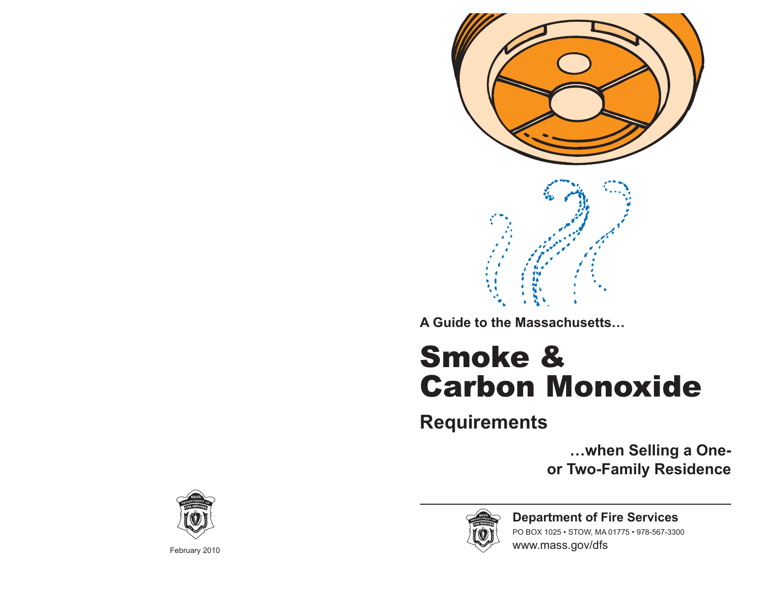

**A Guide to the Massachusetts…**

# Smoke & Carbon Monoxide

**Requirements** 

**…when Selling a Oneor Two-Family Residence**



February 2010



**Department of Fire Services** PO BOX 1025 • STOW, MA 01775 • 978-567-3300 www.mass.gov/dfs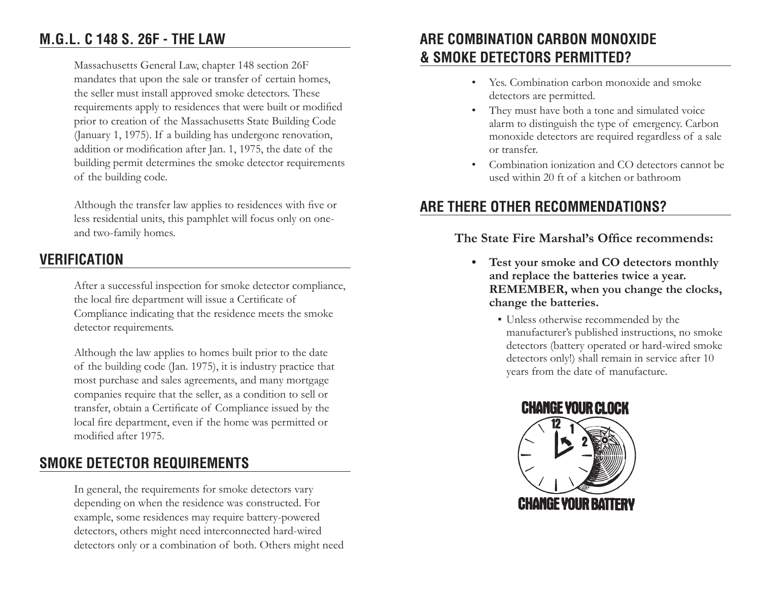## **M.G.L. C 148 S. 26F - THE LAW**

Massachusetts General Law, chapter 148 section 26F mandates that upon the sale or transfer of certain homes, the seller must install approved smoke detectors. These requirements apply to residences that were built or modified prior to creation of the Massachusetts State Building Code (January 1, 1975). If a building has undergone renovation, addition or modification after Jan. 1, 1975, the date of the building permit determines the smoke detector requirements of the building code.

Although the transfer law applies to residences with five or less residential units, this pamphlet will focus only on oneand two-family homes.

#### **VERIFICATION**

After a successful inspection for smoke detector compliance, the local fire department will issue a Certificate of Compliance indicating that the residence meets the smoke detector requirements.

Although the law applies to homes built prior to the date of the building code (Jan. 1975), it is industry practice that most purchase and sales agreements, and many mortgage companies require that the seller, as a condition to sell or transfer, obtain a Certificate of Compliance issued by the local fire department, even if the home was permitted or modified after 1975.

## **SMOKE DETECTOR REQUIREMENTS**

In general, the requirements for smoke detectors vary depending on when the residence was constructed. For example, some residences may require battery-powered detectors, others might need interconnected hard-wired detectors only or a combination of both. Others might need

## **ARE COMBINATION CARBON MONOXIDE & SMOKE DETECTORS PERMITTED?**

- Yes. Combination carbon monoxide and smoke detectors are permitted.
- They must have both a tone and simulated voice alarm to distinguish the type of emergency. Carbon monoxide detectors are required regardless of a sale or transfer.
- Combination ionization and CO detectors cannot be used within 20 ft of a kitchen or bathroom

## **ARE THERE OTHER RECOMMENDATIONS?**

#### The State Fire Marshal's Office recommends:

- **Test your smoke and CO detectors monthly and replace the batteries twice a year. REMEMBER, when you change the clocks, change the batteries.**
	- ƒ Unless otherwise recommended by the manufacturer's published instructions, no smoke detectors (battery operated or hard-wired smoke detectors only!) shall remain in service after 10 years from the date of manufacture.

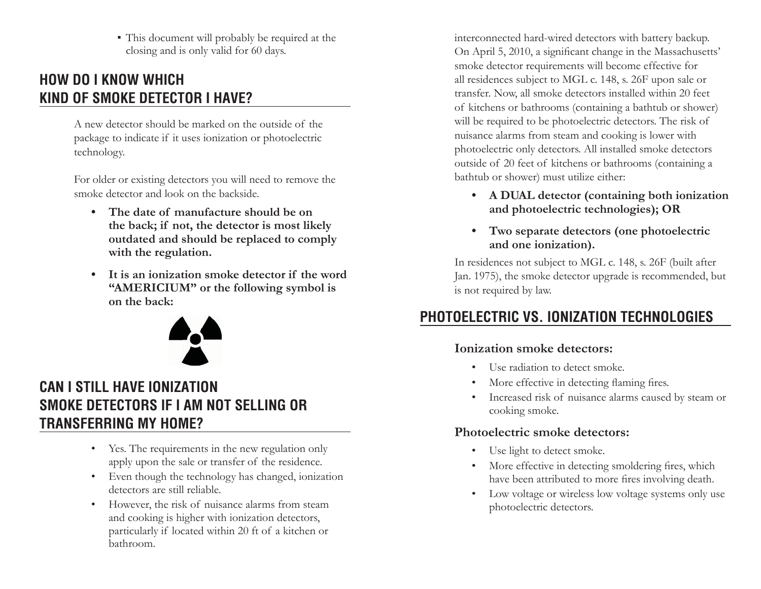ƒ This document will probably be required at the closing and is only valid for 60 days.

## **HOW DO I KNOW WHICH KIND OF SMOKE DETECTOR I HAVE?**

A new detector should be marked on the outside of the package to indicate if it uses ionization or photoelectric technology.

For older or existing detectors you will need to remove the smoke detector and look on the backside.

- **The date of manufacture should be on the back; if not, the detector is most likely outdated and should be replaced to comply with the regulation.**
- **It is an ionization smoke detector if the word "AMERICIUM" or the following symbol is on the back:**



# **CAN I STILL HAVE IONIZATION SMOKE DETECTORS IF I AM NOT SELLING OR TRANSFERRING MY HOME?**

- Yes. The requirements in the new regulation only apply upon the sale or transfer of the residence.
- Even though the technology has changed, ionization detectors are still reliable.
- However, the risk of nuisance alarms from steam and cooking is higher with ionization detectors, particularly if located within 20 ft of a kitchen or bathroom.

interconnected hard-wired detectors with battery backup. On April 5, 2010, a significant change in the Massachusetts' smoke detector requirements will become effective for all residences subject to MGL c. 148, s. 26F upon sale or transfer. Now, all smoke detectors installed within 20 feet of kitchens or bathrooms (containing a bathtub or shower) will be required to be photoelectric detectors. The risk of nuisance alarms from steam and cooking is lower with photoelectric only detectors. All installed smoke detectors outside of 20 feet of kitchens or bathrooms (containing a bathtub or shower) must utilize either:

- **A DUAL detector (containing both ionization and photoelectric technologies); OR**
- **Two separate detectors (one photoelectric and one ionization).**

In residences not subject to MGL c. 148, s. 26F (built after Jan. 1975), the smoke detector upgrade is recommended, but is not required by law.

# **PHOTOELECTRIC VS. IONIZATION TECHNOLOGIES**

#### **Ionization smoke detectors:**

- Use radiation to detect smoke.
- More effective in detecting flaming fires.
- Increased risk of nuisance alarms caused by steam or cooking smoke.

#### **Photoelectric smoke detectors:**

- Use light to detect smoke.
- More effective in detecting smoldering fires, which have been attributed to more fires involving death.
- Low voltage or wireless low voltage systems only use photoelectric detectors.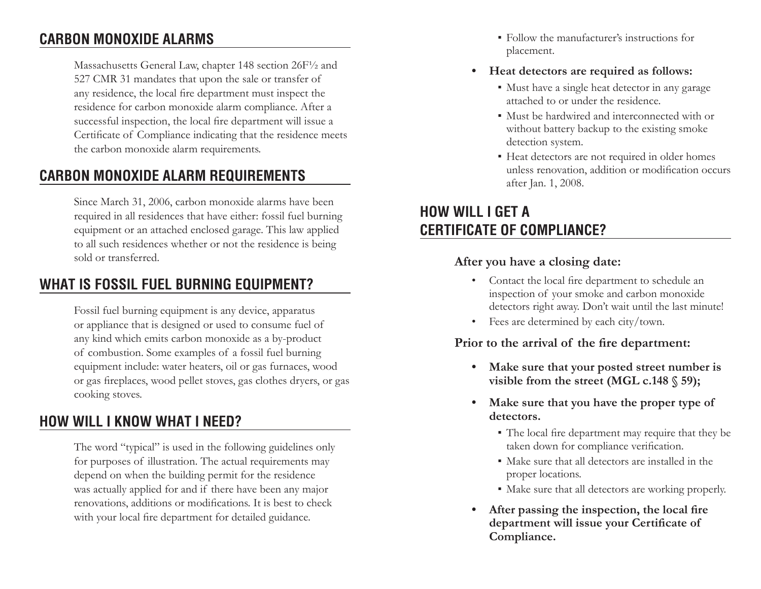## **CARBON MONOXIDE ALARMS**

Massachusetts General Law, chapter 148 section 26F½ and 527 CMR 31 mandates that upon the sale or transfer of any residence, the local fire department must inspect the residence for carbon monoxide alarm compliance. After a successful inspection, the local fire department will issue a Certificate of Compliance indicating that the residence meets the carbon monoxide alarm requirements.

## **CARBON MONOXIDE ALARM REQUIREMENTS**

Since March 31, 2006, carbon monoxide alarms have been required in all residences that have either: fossil fuel burning equipment or an attached enclosed garage. This law applied to all such residences whether or not the residence is being sold or transferred.

## **WHAT IS FOSSIL FUEL BURNING EQUIPMENT?**

Fossil fuel burning equipment is any device, apparatus or appliance that is designed or used to consume fuel of any kind which emits carbon monoxide as a by-product of combustion. Some examples of a fossil fuel burning equipment include: water heaters, oil or gas furnaces, wood or gas fireplaces, wood pellet stoves, gas clothes dryers, or gas cooking stoves.

## **HOW WILL I KNOW WHAT I NEED?**

The word "typical" is used in the following guidelines only for purposes of illustration. The actual requirements may depend on when the building permit for the residence was actually applied for and if there have been any major renovations, additions or modifications. It is best to check with your local fire department for detailed guidance.

- ƒ Follow the manufacturer's instructions for placement.
- **Heat detectors are required as follows:**
	- ƒ Must have a single heat detector in any garage attached to or under the residence.
	- ƒ Must be hardwired and interconnected with or without battery backup to the existing smoke detection system.
	- Heat detectors are not required in older homes unless renovation, addition or modification occurs after Jan. 1, 2008.

## **HOW WILL I GET A CERTIFICATE OF COMPLIANCE?**

#### **After you have a closing date:**

- Contact the local fire department to schedule an inspection of your smoke and carbon monoxide detectors right away. Don't wait until the last minute!
- Fees are determined by each city/town.

#### Prior to the arrival of the fire department:

- **Make sure that your posted street number is visible from the street (MGL c.148 § 59);**
- **Make sure that you have the proper type of detectors.**
	- The local fire department may require that they be taken down for compliance verification.
	- ƒ Make sure that all detectors are installed in the proper locations.
	- ƒ Make sure that all detectors are working properly.
- After passing the inspection, the local fire department will issue your Certificate of **Compliance.**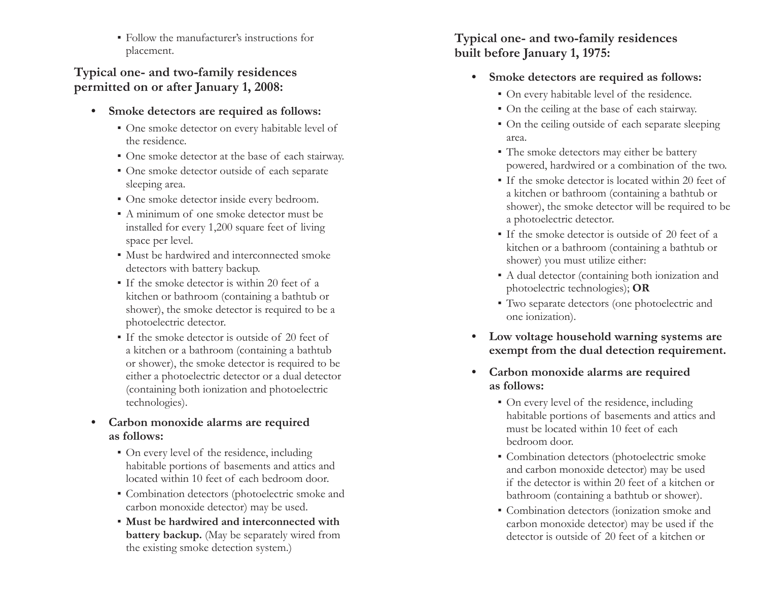ƒ Follow the manufacturer's instructions for placement.

#### **Typical one- and two-family residences permitted on or after January 1, 2008:**

- **Smoke detectors are required as follows:**
	- ƒ One smoke detector on every habitable level of the residence.
	- One smoke detector at the base of each stairway.
	- ƒ One smoke detector outside of each separate sleeping area.
	- ƒ One smoke detector inside every bedroom.
	- ƒ A minimum of one smoke detector must be installed for every 1,200 square feet of living space per level.
	- ƒ Must be hardwired and interconnected smoke detectors with battery backup.
	- ƒ If the smoke detector is within 20 feet of a kitchen or bathroom (containing a bathtub or shower), the smoke detector is required to be a photoelectric detector.
	- ƒ If the smoke detector is outside of 20 feet of a kitchen or a bathroom (containing a bathtub or shower), the smoke detector is required to be either a photoelectric detector or a dual detector (containing both ionization and photoelectric technologies).
- **Carbon monoxide alarms are required as follows:**
	- On every level of the residence, including habitable portions of basements and attics and located within 10 feet of each bedroom door.
	- ƒ Combination detectors (photoelectric smoke and carbon monoxide detector) may be used.
	- ƒ **Must be hardwired and interconnected with battery backup.** (May be separately wired from the existing smoke detection system.)

#### **Typical one- and two-family residences built before January 1, 1975:**

- **Smoke detectors are required as follows:**
	- ƒ On every habitable level of the residence.
	- ƒ On the ceiling at the base of each stairway.
	- On the ceiling outside of each separate sleeping area.
	- The smoke detectors may either be battery powered, hardwired or a combination of the two.
	- ƒ If the smoke detector is located within 20 feet of a kitchen or bathroom (containing a bathtub or shower), the smoke detector will be required to be a photoelectric detector.
	- ƒ If the smoke detector is outside of 20 feet of a kitchen or a bathroom (containing a bathtub or shower) you must utilize either:
	- ƒ A dual detector (containing both ionization and photoelectric technologies); **OR**
	- ƒ Two separate detectors (one photoelectric and one ionization).
- **Low voltage household warning systems are exempt from the dual detection requirement.**
- **Carbon monoxide alarms are required as follows:**
	- On every level of the residence, including habitable portions of basements and attics and must be located within 10 feet of each bedroom door.
	- Combination detectors (photoelectric smoke and carbon monoxide detector) may be used if the detector is within 20 feet of a kitchen or bathroom (containing a bathtub or shower).
	- ƒ Combination detectors (ionization smoke and carbon monoxide detector) may be used if the detector is outside of 20 feet of a kitchen or